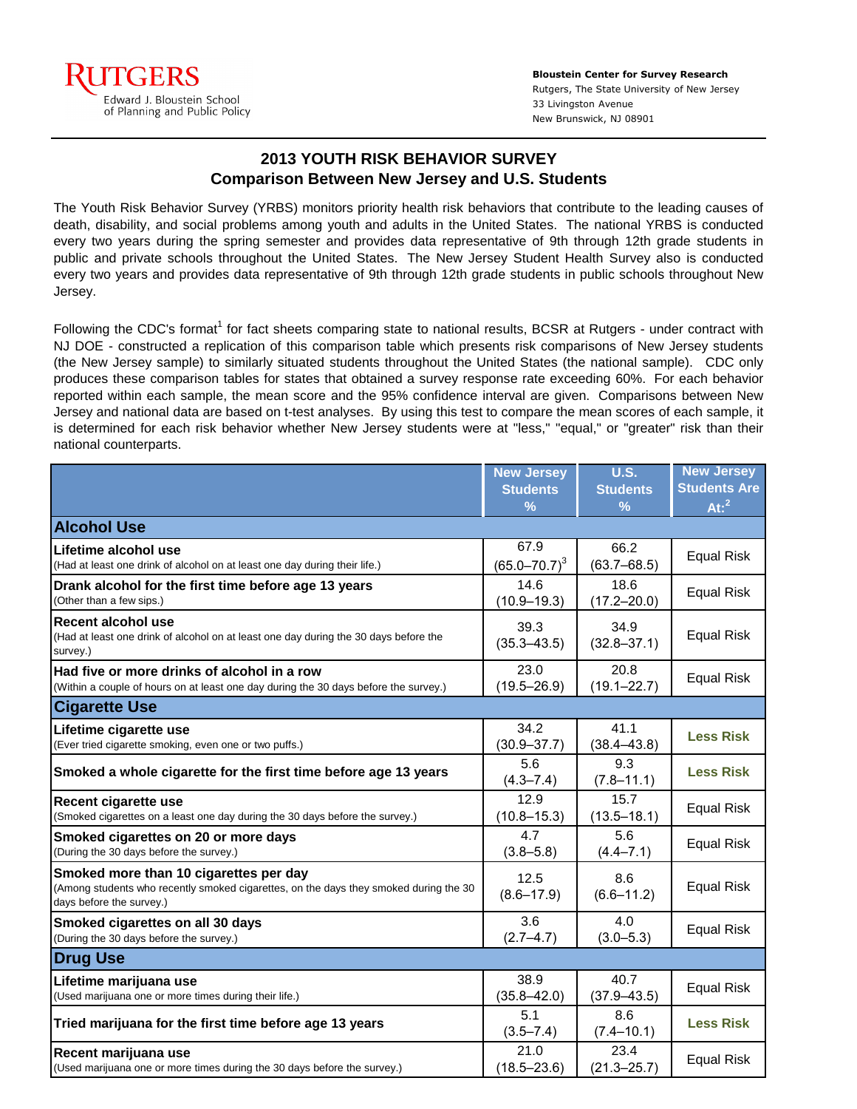

**Bloustein Center for Survey Research** Rutgers, The State University of New Jersey 33 Livingston Avenue New Brunswick, NJ 08901

## **2013 YOUTH RISK BEHAVIOR SURVEY Comparison Between New Jersey and U.S. Students**

The Youth Risk Behavior Survey (YRBS) monitors priority health risk behaviors that contribute to the leading causes of death, disability, and social problems among youth and adults in the United States. The national YRBS is conducted every two years during the spring semester and provides data representative of 9th through 12th grade students in public and private schools throughout the United States. The New Jersey Student Health Survey also is conducted every two years and provides data representative of 9th through 12th grade students in public schools throughout New Jersey.

Following the CDC's format<sup>1</sup> for fact sheets comparing state to national results, BCSR at Rutgers - under contract with NJ DOE - constructed a replication of this comparison table which presents risk comparisons of New Jersey students (the New Jersey sample) to similarly situated students throughout the United States (the national sample). CDC only produces these comparison tables for states that obtained a survey response rate exceeding 60%. For each behavior reported within each sample, the mean score and the 95% confidence interval are given. Comparisons between New Jersey and national data are based on t-test analyses. By using this test to compare the mean scores of each sample, it is determined for each risk behavior whether New Jersey students were at "less," "equal," or "greater" risk than their national counterparts.

|                                                                                                                                                             | <b>New Jersey</b>       | <b>U.S.</b>             | <b>New Jersey</b>   |
|-------------------------------------------------------------------------------------------------------------------------------------------------------------|-------------------------|-------------------------|---------------------|
|                                                                                                                                                             | <b>Students</b>         | <b>Students</b>         | <b>Students Are</b> |
|                                                                                                                                                             | $\frac{9}{6}$           | $\%$                    | At: <sup>2</sup>    |
| <b>Alcohol Use</b>                                                                                                                                          |                         |                         |                     |
| Lifetime alcohol use                                                                                                                                        | 67.9                    | 66.2                    | <b>Equal Risk</b>   |
| (Had at least one drink of alcohol on at least one day during their life.)                                                                                  | $(65.0 - 70.7)^3$       | $(63.7 - 68.5)$         |                     |
| Drank alcohol for the first time before age 13 years                                                                                                        | 14.6                    | 18.6                    | <b>Equal Risk</b>   |
| (Other than a few sips.)                                                                                                                                    | $(10.9 - 19.3)$         | $(17.2 - 20.0)$         |                     |
| <b>Recent alcohol use</b><br>(Had at least one drink of alcohol on at least one day during the 30 days before the<br>survey.)                               | 39.3<br>$(35.3 - 43.5)$ | 34.9<br>$(32.8 - 37.1)$ | <b>Equal Risk</b>   |
| Had five or more drinks of alcohol in a row                                                                                                                 | 23.0                    | 20.8                    | <b>Equal Risk</b>   |
| (Within a couple of hours on at least one day during the 30 days before the survey.)                                                                        | $(19.5 - 26.9)$         | $(19.1 - 22.7)$         |                     |
| <b>Cigarette Use</b>                                                                                                                                        |                         |                         |                     |
| Lifetime cigarette use                                                                                                                                      | 34.2                    | 41.1                    | <b>Less Risk</b>    |
| (Ever tried cigarette smoking, even one or two puffs.)                                                                                                      | $(30.9 - 37.7)$         | $(38.4 - 43.8)$         |                     |
| Smoked a whole cigarette for the first time before age 13 years                                                                                             | 5.6<br>$(4.3 - 7.4)$    | 9.3<br>$(7.8 - 11.1)$   | <b>Less Risk</b>    |
| Recent cigarette use                                                                                                                                        | 12.9                    | 15.7                    | <b>Equal Risk</b>   |
| (Smoked cigarettes on a least one day during the 30 days before the survey.)                                                                                | $(10.8 - 15.3)$         | $(13.5 - 18.1)$         |                     |
| Smoked cigarettes on 20 or more days                                                                                                                        | 4.7                     | 5.6                     | <b>Equal Risk</b>   |
| (During the 30 days before the survey.)                                                                                                                     | $(3.8 - 5.8)$           | $(4.4 - 7.1)$           |                     |
| Smoked more than 10 cigarettes per day<br>(Among students who recently smoked cigarettes, on the days they smoked during the 30<br>days before the survey.) | 12.5<br>$(8.6 - 17.9)$  | 8.6<br>$(6.6 - 11.2)$   | <b>Equal Risk</b>   |
| Smoked cigarettes on all 30 days                                                                                                                            | 3.6                     | 4.0                     | <b>Equal Risk</b>   |
| (During the 30 days before the survey.)                                                                                                                     | $(2.7 - 4.7)$           | $(3.0 - 5.3)$           |                     |
| <b>Drug Use</b>                                                                                                                                             |                         |                         |                     |
| Lifetime marijuana use                                                                                                                                      | 38.9                    | 40.7                    | <b>Equal Risk</b>   |
| (Used marijuana one or more times during their life.)                                                                                                       | $(35.8 - 42.0)$         | $(37.9 - 43.5)$         |                     |
| Tried marijuana for the first time before age 13 years                                                                                                      | 5.1<br>$(3.5 - 7.4)$    | 8.6<br>$(7.4 - 10.1)$   | <b>Less Risk</b>    |
| Recent marijuana use                                                                                                                                        | 21.0                    | 23.4                    | <b>Equal Risk</b>   |
| (Used marijuana one or more times during the 30 days before the survey.)                                                                                    | $(18.5 - 23.6)$         | $(21.3 - 25.7)$         |                     |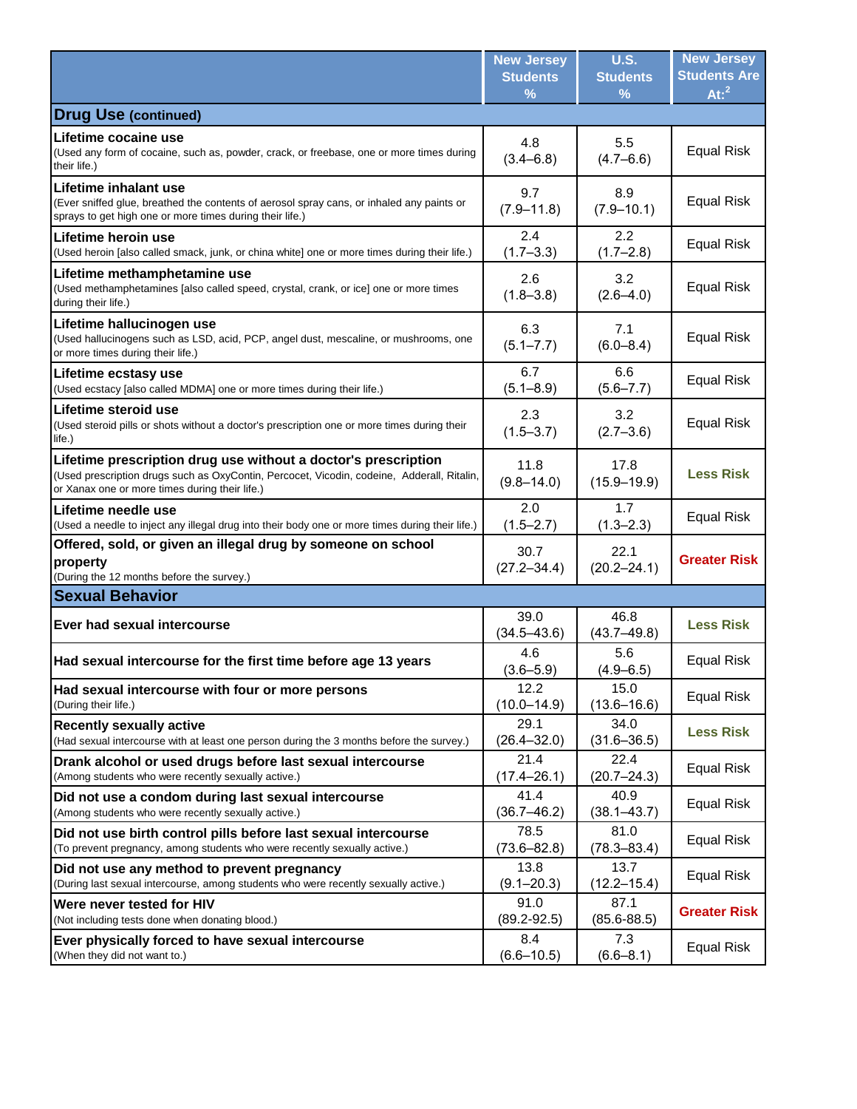|                                                                                                                                                                                                                | <b>New Jersey</b>       | <b>U.S.</b>             | <b>New Jersey</b>   |
|----------------------------------------------------------------------------------------------------------------------------------------------------------------------------------------------------------------|-------------------------|-------------------------|---------------------|
|                                                                                                                                                                                                                | <b>Students</b>         | <b>Students</b>         | <b>Students Are</b> |
|                                                                                                                                                                                                                | %                       | %                       | At: <sup>2</sup>    |
| <b>Drug Use (continued)</b>                                                                                                                                                                                    |                         |                         |                     |
| Lifetime cocaine use<br>(Used any form of cocaine, such as, powder, crack, or freebase, one or more times during<br>their life.)                                                                               | 4.8<br>$(3.4 - 6.8)$    | 5.5<br>$(4.7 - 6.6)$    | <b>Equal Risk</b>   |
| Lifetime inhalant use<br>(Ever sniffed glue, breathed the contents of aerosol spray cans, or inhaled any paints or<br>sprays to get high one or more times during their life.)                                 | 9.7<br>$(7.9 - 11.8)$   | 8.9<br>$(7.9 - 10.1)$   | <b>Equal Risk</b>   |
| Lifetime heroin use                                                                                                                                                                                            | 2.4                     | $2.2^{\circ}$           | <b>Equal Risk</b>   |
| (Used heroin [also called smack, junk, or china white] one or more times during their life.)                                                                                                                   | $(1.7 - 3.3)$           | $(1.7 - 2.8)$           |                     |
| Lifetime methamphetamine use<br>(Used methamphetamines [also called speed, crystal, crank, or ice] one or more times<br>during their life.)                                                                    | 2.6<br>$(1.8 - 3.8)$    | 3.2<br>$(2.6 - 4.0)$    | <b>Equal Risk</b>   |
| Lifetime hallucinogen use<br>(Used hallucinogens such as LSD, acid, PCP, angel dust, mescaline, or mushrooms, one<br>or more times during their life.)                                                         | 6.3<br>$(5.1 - 7.7)$    | 7.1<br>$(6.0 - 8.4)$    | <b>Equal Risk</b>   |
| Lifetime ecstasy use                                                                                                                                                                                           | 6.7                     | 6.6                     | <b>Equal Risk</b>   |
| (Used ecstacy [also called MDMA] one or more times during their life.)                                                                                                                                         | $(5.1 - 8.9)$           | $(5.6 - 7.7)$           |                     |
| Lifetime steroid use<br>(Used steroid pills or shots without a doctor's prescription one or more times during their<br>life.)                                                                                  | 2.3<br>$(1.5 - 3.7)$    | 3.2<br>$(2.7 - 3.6)$    | <b>Equal Risk</b>   |
| Lifetime prescription drug use without a doctor's prescription<br>(Used prescription drugs such as OxyContin, Percocet, Vicodin, codeine, Adderall, Ritalin,<br>or Xanax one or more times during their life.) | 11.8<br>$(9.8 - 14.0)$  | 17.8<br>$(15.9 - 19.9)$ | <b>Less Risk</b>    |
| Lifetime needle use                                                                                                                                                                                            | 2.0                     | 1.7                     | <b>Equal Risk</b>   |
| (Used a needle to inject any illegal drug into their body one or more times during their life.)                                                                                                                | $(1.5 - 2.7)$           | $(1.3 - 2.3)$           |                     |
| Offered, sold, or given an illegal drug by someone on school<br>property<br>(During the 12 months before the survey.)                                                                                          | 30.7<br>$(27.2 - 34.4)$ | 22.1<br>$(20.2 - 24.1)$ | <b>Greater Risk</b> |
| <b>Sexual Behavior</b>                                                                                                                                                                                         |                         |                         |                     |
| Ever had sexual intercourse                                                                                                                                                                                    | 39.0<br>$(34.5 - 43.6)$ | 46.8<br>$(43.7 - 49.8)$ | <b>Less Risk</b>    |
| Had sexual intercourse for the first time before age 13 years                                                                                                                                                  | 4.6<br>$(3.6 - 5.9)$    | 5.6<br>$(4.9 - 6.5)$    | <b>Equal Risk</b>   |
| Had sexual intercourse with four or more persons                                                                                                                                                               | 12.2                    | 15.0                    | <b>Equal Risk</b>   |
| (During their life.)                                                                                                                                                                                           | $(10.0 - 14.9)$         | $(13.6 - 16.6)$         |                     |
| <b>Recently sexually active</b>                                                                                                                                                                                | 29.1                    | 34.0                    | <b>Less Risk</b>    |
| (Had sexual intercourse with at least one person during the 3 months before the survey.)                                                                                                                       | $(26.4 - 32.0)$         | $(31.6 - 36.5)$         |                     |
| Drank alcohol or used drugs before last sexual intercourse                                                                                                                                                     | 21.4                    | 22.4                    | Equal Risk          |
| (Among students who were recently sexually active.)                                                                                                                                                            | $(17.4 - 26.1)$         | $(20.7 - 24.3)$         |                     |
| Did not use a condom during last sexual intercourse                                                                                                                                                            | 41.4                    | 40.9                    | Equal Risk          |
| (Among students who were recently sexually active.)                                                                                                                                                            | $(36.7 - 46.2)$         | $(38.1 - 43.7)$         |                     |
| Did not use birth control pills before last sexual intercourse                                                                                                                                                 | 78.5                    | 81.0                    | <b>Equal Risk</b>   |
| (To prevent pregnancy, among students who were recently sexually active.)                                                                                                                                      | $(73.6 - 82.8)$         | $(78.3 - 83.4)$         |                     |
| Did not use any method to prevent pregnancy                                                                                                                                                                    | 13.8                    | 13.7                    | Equal Risk          |
| (During last sexual intercourse, among students who were recently sexually active.)                                                                                                                            | $(9.1 - 20.3)$          | (12.2–15.4)             |                     |
| Were never tested for HIV                                                                                                                                                                                      | 91.0                    | 87.1                    | <b>Greater Risk</b> |
| (Not including tests done when donating blood.)                                                                                                                                                                | $(89.2 - 92.5)$         | $(85.6 - 88.5)$         |                     |
| Ever physically forced to have sexual intercourse                                                                                                                                                              | 8.4                     | 7.3                     | <b>Equal Risk</b>   |
| (When they did not want to.)                                                                                                                                                                                   | $(6.6 - 10.5)$          | $(6.6 - 8.1)$           |                     |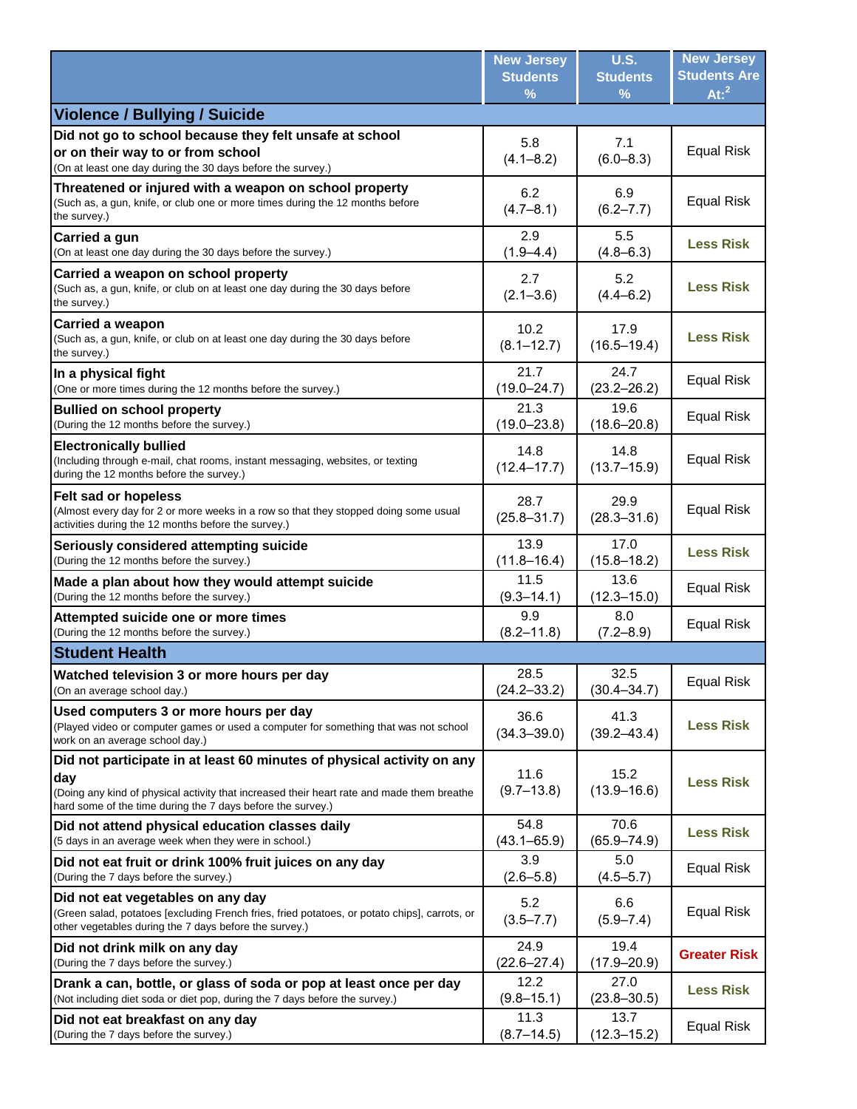|                                                                                                                                                                                                                                            | <b>New Jersey</b><br><b>Students</b> | <b>U.S.</b><br><b>Students</b> | <b>New Jersey</b><br><b>Students Are</b><br>$At:$ <sup>2</sup> |
|--------------------------------------------------------------------------------------------------------------------------------------------------------------------------------------------------------------------------------------------|--------------------------------------|--------------------------------|----------------------------------------------------------------|
| <b>Violence / Bullying / Suicide</b>                                                                                                                                                                                                       | %                                    | %                              |                                                                |
| Did not go to school because they felt unsafe at school                                                                                                                                                                                    |                                      |                                |                                                                |
| or on their way to or from school                                                                                                                                                                                                          | 5.8                                  | 7.1                            | <b>Equal Risk</b>                                              |
| (On at least one day during the 30 days before the survey.)                                                                                                                                                                                | $(4.1 - 8.2)$                        | $(6.0 - 8.3)$                  |                                                                |
| Threatened or injured with a weapon on school property<br>(Such as, a gun, knife, or club one or more times during the 12 months before<br>the survey.)                                                                                    | 6.2<br>$(4.7 - 8.1)$                 | 6.9<br>$(6.2 - 7.7)$           | <b>Equal Risk</b>                                              |
| Carried a gun                                                                                                                                                                                                                              | 2.9                                  | 5.5                            | <b>Less Risk</b>                                               |
| (On at least one day during the 30 days before the survey.)                                                                                                                                                                                | $(1.9 - 4.4)$                        | $(4.8 - 6.3)$                  |                                                                |
| Carried a weapon on school property<br>(Such as, a gun, knife, or club on at least one day during the 30 days before<br>the survey.)                                                                                                       | 2.7<br>$(2.1 - 3.6)$                 | 5.2<br>$(4.4 - 6.2)$           | <b>Less Risk</b>                                               |
| <b>Carried a weapon</b><br>(Such as, a gun, knife, or club on at least one day during the 30 days before<br>the survey.)                                                                                                                   | 10.2<br>$(8.1 - 12.7)$               | 17.9<br>$(16.5 - 19.4)$        | <b>Less Risk</b>                                               |
| In a physical fight                                                                                                                                                                                                                        | 21.7                                 | 24.7                           | <b>Equal Risk</b>                                              |
| (One or more times during the 12 months before the survey.)                                                                                                                                                                                | $(19.0 - 24.7)$                      | $(23.2 - 26.2)$                |                                                                |
| <b>Bullied on school property</b>                                                                                                                                                                                                          | 21.3                                 | 19.6                           | <b>Equal Risk</b>                                              |
| (During the 12 months before the survey.)                                                                                                                                                                                                  | $(19.0 - 23.8)$                      | $(18.6 - 20.8)$                |                                                                |
| <b>Electronically bullied</b><br>(Including through e-mail, chat rooms, instant messaging, websites, or texting<br>during the 12 months before the survey.)                                                                                | 14.8<br>$(12.4 - 17.7)$              | 14.8<br>$(13.7 - 15.9)$        | <b>Equal Risk</b>                                              |
| <b>Felt sad or hopeless</b><br>(Almost every day for 2 or more weeks in a row so that they stopped doing some usual<br>activities during the 12 months before the survey.)                                                                 | 28.7<br>$(25.8 - 31.7)$              | 29.9<br>$(28.3 - 31.6)$        | <b>Equal Risk</b>                                              |
| Seriously considered attempting suicide                                                                                                                                                                                                    | 13.9                                 | 17.0                           | <b>Less Risk</b>                                               |
| (During the 12 months before the survey.)                                                                                                                                                                                                  | $(11.8 - 16.4)$                      | $(15.8 - 18.2)$                |                                                                |
| Made a plan about how they would attempt suicide                                                                                                                                                                                           | 11.5                                 | 13.6                           | <b>Equal Risk</b>                                              |
| (During the 12 months before the survey.)                                                                                                                                                                                                  | $(9.3 - 14.1)$                       | $(12.3 - 15.0)$                |                                                                |
| Attempted suicide one or more times                                                                                                                                                                                                        | 9.9                                  | 8.0                            | <b>Equal Risk</b>                                              |
| (During the 12 months before the survey.)                                                                                                                                                                                                  | $(8.2 - 11.8)$                       | $(7.2 - 8.9)$                  |                                                                |
| <b>Student Health</b>                                                                                                                                                                                                                      |                                      |                                |                                                                |
| Watched television 3 or more hours per day                                                                                                                                                                                                 | 28.5                                 | 32.5                           | <b>Equal Risk</b>                                              |
| (On an average school day.)                                                                                                                                                                                                                | $(24.2 - 33.2)$                      | $(30.4 - 34.7)$                |                                                                |
| Used computers 3 or more hours per day<br>(Played video or computer games or used a computer for something that was not school<br>work on an average school day.)                                                                          | 36.6<br>$(34.3 - 39.0)$              | 41.3<br>$(39.2 - 43.4)$        | <b>Less Risk</b>                                               |
| Did not participate in at least 60 minutes of physical activity on any<br>day<br>(Doing any kind of physical activity that increased their heart rate and made them breathe<br>hard some of the time during the 7 days before the survey.) | 11.6<br>$(9.7 - 13.8)$               | 15.2<br>$(13.9 - 16.6)$        | <b>Less Risk</b>                                               |
| Did not attend physical education classes daily                                                                                                                                                                                            | 54.8                                 | 70.6                           | <b>Less Risk</b>                                               |
| (5 days in an average week when they were in school.)                                                                                                                                                                                      | $(43.1 - 65.9)$                      | $(65.9 - 74.9)$                |                                                                |
| Did not eat fruit or drink 100% fruit juices on any day                                                                                                                                                                                    | 3.9                                  | 5.0                            | Equal Risk                                                     |
| (During the 7 days before the survey.)                                                                                                                                                                                                     | $(2.6 - 5.8)$                        | $(4.5 - 5.7)$                  |                                                                |
| Did not eat vegetables on any day<br>(Green salad, potatoes [excluding French fries, fried potatoes, or potato chips], carrots, or<br>other vegetables during the 7 days before the survey.)                                               | 5.2<br>$(3.5 - 7.7)$                 | 6.6<br>$(5.9 - 7.4)$           | Equal Risk                                                     |
| Did not drink milk on any day                                                                                                                                                                                                              | 24.9                                 | 19.4                           | <b>Greater Risk</b>                                            |
| (During the 7 days before the survey.)                                                                                                                                                                                                     | $(22.6 - 27.4)$                      | $(17.9 - 20.9)$                |                                                                |
| Drank a can, bottle, or glass of soda or pop at least once per day                                                                                                                                                                         | 12.2                                 | 27.0                           | <b>Less Risk</b>                                               |
| (Not including diet soda or diet pop, during the 7 days before the survey.)                                                                                                                                                                | $(9.8 - 15.1)$                       | $(23.8 - 30.5)$                |                                                                |
| Did not eat breakfast on any day                                                                                                                                                                                                           | 11.3                                 | 13.7                           | Equal Risk                                                     |
| (During the 7 days before the survey.)                                                                                                                                                                                                     | $(8.7 - 14.5)$                       | $(12.3 - 15.2)$                |                                                                |